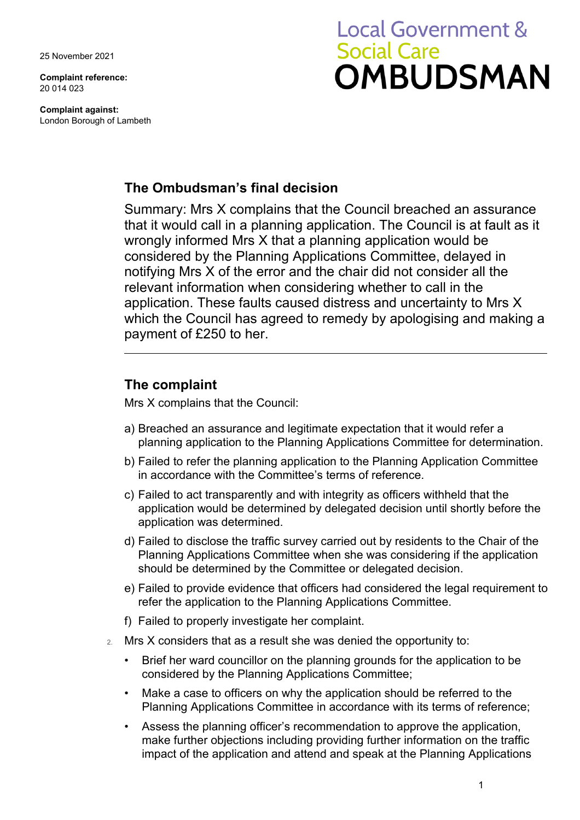25 November 2021

**Complaint reference:**  20 014 023

**Complaint against:** London Borough of Lambeth

# **Local Government & Social Care** OMBUDSMAN

## **The Ombudsman's final decision**

Summary: Mrs X complains that the Council breached an assurance that it would call in a planning application. The Council is at fault as it wrongly informed Mrs X that a planning application would be considered by the Planning Applications Committee, delayed in notifying Mrs X of the error and the chair did not consider all the relevant information when considering whether to call in the application. These faults caused distress and uncertainty to Mrs X which the Council has agreed to remedy by apologising and making a payment of £250 to her.

## **The complaint**

Mrs X complains that the Council:

- a) Breached an assurance and legitimate expectation that it would refer a planning application to the Planning Applications Committee for determination.
- b) Failed to refer the planning application to the Planning Application Committee in accordance with the Committee's terms of reference.
- c) Failed to act transparently and with integrity as officers withheld that the application would be determined by delegated decision until shortly before the application was determined.
- d) Failed to disclose the traffic survey carried out by residents to the Chair of the Planning Applications Committee when she was considering if the application should be determined by the Committee or delegated decision.
- e) Failed to provide evidence that officers had considered the legal requirement to refer the application to the Planning Applications Committee.
- f) Failed to properly investigate her complaint.
- 2. Mrs X considers that as a result she was denied the opportunity to:
	- Brief her ward councillor on the planning grounds for the application to be considered by the Planning Applications Committee;
	- Make a case to officers on why the application should be referred to the Planning Applications Committee in accordance with its terms of reference;
	- Assess the planning officer's recommendation to approve the application, make further objections including providing further information on the traffic impact of the application and attend and speak at the Planning Applications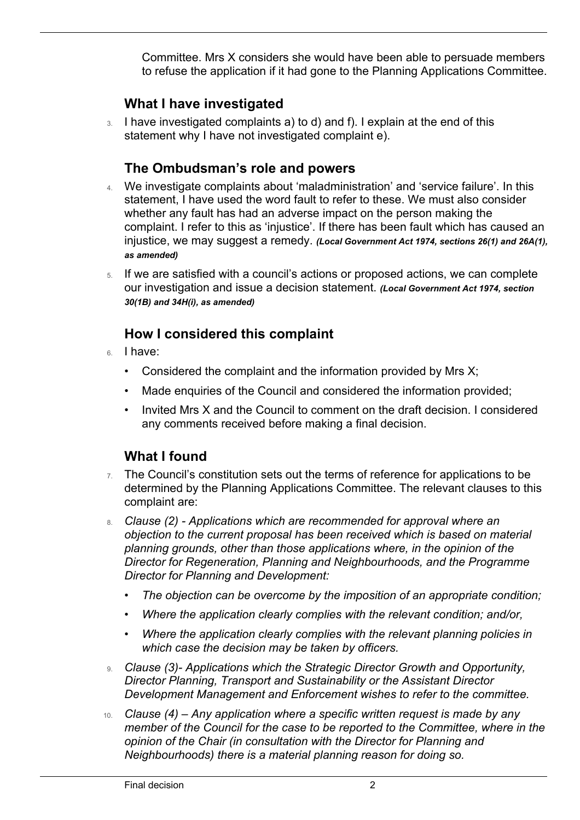Committee. Mrs X considers she would have been able to persuade members to refuse the application if it had gone to the Planning Applications Committee.

## **What I have investigated**

3. I have investigated complaints a) to d) and f). I explain at the end of this statement why I have not investigated complaint e).

## **The Ombudsman's role and powers**

- 4. We investigate complaints about 'maladministration' and 'service failure'. In this statement, I have used the word fault to refer to these. We must also consider whether any fault has had an adverse impact on the person making the complaint. I refer to this as 'injustice'. If there has been fault which has caused an injustice, we may suggest a remedy. *(Local Government Act 1974, sections 26(1) and 26A(1), as amended)*
- 5. If we are satisfied with a council's actions or proposed actions, we can complete our investigation and issue a decision statement. *(Local Government Act 1974, section 30(1B) and 34H(i), as amended)*

## **How I considered this complaint**

6. I have:

 $\overline{a}$ 

- Considered the complaint and the information provided by Mrs X;
- Made enquiries of the Council and considered the information provided;
- Invited Mrs X and the Council to comment on the draft decision. I considered any comments received before making a final decision.

## **What I found**

- $7.$  The Council's constitution sets out the terms of reference for applications to be determined by the Planning Applications Committee. The relevant clauses to this complaint are:
- 8. *Clause (2) Applications which are recommended for approval where an objection to the current proposal has been received which is based on material planning grounds, other than those applications where, in the opinion of the Director for Regeneration, Planning and Neighbourhoods, and the Programme Director for Planning and Development:*
	- *The objection can be overcome by the imposition of an appropriate condition;*
	- *Where the application clearly complies with the relevant condition; and/or,*
	- *Where the application clearly complies with the relevant planning policies in which case the decision may be taken by officers.*
- 9. *Clause (3)- Applications which the Strategic Director Growth and Opportunity, Director Planning, Transport and Sustainability or the Assistant Director Development Management and Enforcement wishes to refer to the committee.*
- 10. *Clause (4) Any application where a specific written request is made by any member of the Council for the case to be reported to the Committee, where in the opinion of the Chair (in consultation with the Director for Planning and Neighbourhoods) there is a material planning reason for doing so.*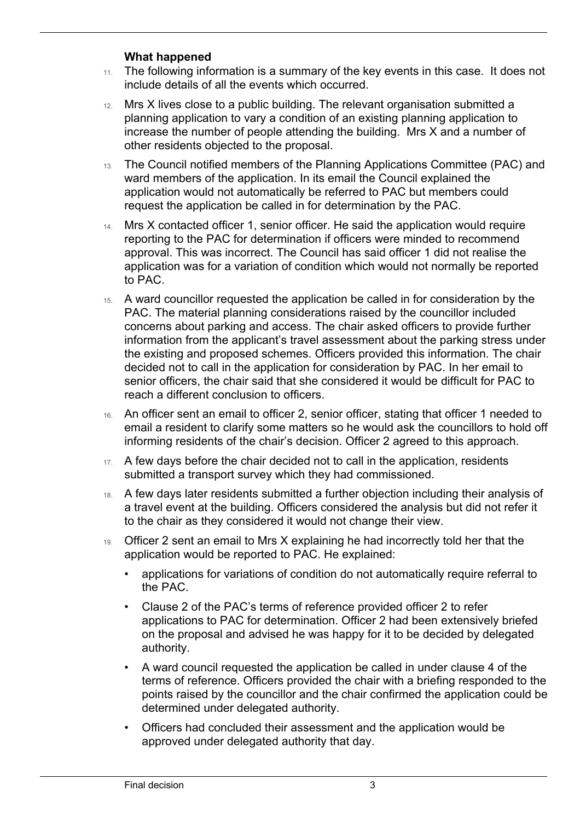#### **What happened**

 $\overline{a}$ 

- 11. The following information is a summary of the key events in this case. It does not include details of all the events which occurred.
- 12. Mrs X lives close to a public building. The relevant organisation submitted a planning application to vary a condition of an existing planning application to increase the number of people attending the building. Mrs X and a number of other residents objected to the proposal.
- 13. The Council notified members of the Planning Applications Committee (PAC) and ward members of the application. In its email the Council explained the application would not automatically be referred to PAC but members could request the application be called in for determination by the PAC.
- 14. Mrs X contacted officer 1, senior officer. He said the application would require reporting to the PAC for determination if officers were minded to recommend approval. This was incorrect. The Council has said officer 1 did not realise the application was for a variation of condition which would not normally be reported to PAC.
- 15. A ward councillor requested the application be called in for consideration by the PAC. The material planning considerations raised by the councillor included concerns about parking and access. The chair asked officers to provide further information from the applicant's travel assessment about the parking stress under the existing and proposed schemes. Officers provided this information. The chair decided not to call in the application for consideration by PAC. In her email to senior officers, the chair said that she considered it would be difficult for PAC to reach a different conclusion to officers.
- 16. An officer sent an email to officer 2, senior officer, stating that officer 1 needed to email a resident to clarify some matters so he would ask the councillors to hold off informing residents of the chair's decision. Officer 2 agreed to this approach.
- 17. A few days before the chair decided not to call in the application, residents submitted a transport survey which they had commissioned.
- 18. A few days later residents submitted a further objection including their analysis of a travel event at the building. Officers considered the analysis but did not refer it to the chair as they considered it would not change their view.
- 19. Officer 2 sent an email to Mrs X explaining he had incorrectly told her that the application would be reported to PAC. He explained:
	- applications for variations of condition do not automatically require referral to the PAC.
	- Clause 2 of the PAC's terms of reference provided officer 2 to refer applications to PAC for determination. Officer 2 had been extensively briefed on the proposal and advised he was happy for it to be decided by delegated authority.
	- A ward council requested the application be called in under clause 4 of the terms of reference. Officers provided the chair with a briefing responded to the points raised by the councillor and the chair confirmed the application could be determined under delegated authority.
	- Officers had concluded their assessment and the application would be approved under delegated authority that day.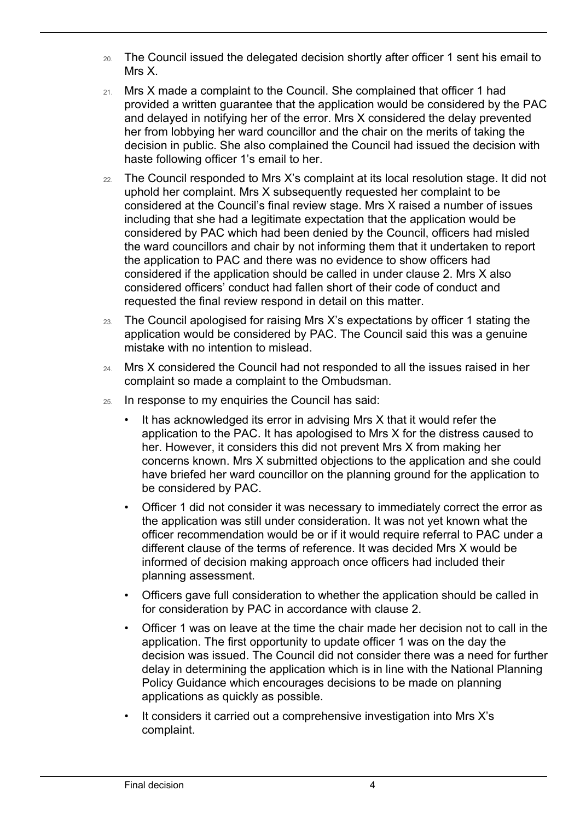- 20. The Council issued the delegated decision shortly after officer 1 sent his email to Mrs X.
- 21. Mrs X made a complaint to the Council. She complained that officer 1 had provided a written guarantee that the application would be considered by the PAC and delayed in notifying her of the error. Mrs X considered the delay prevented her from lobbying her ward councillor and the chair on the merits of taking the decision in public. She also complained the Council had issued the decision with haste following officer 1's email to her.
- 22. The Council responded to Mrs X's complaint at its local resolution stage. It did not uphold her complaint. Mrs X subsequently requested her complaint to be considered at the Council's final review stage. Mrs X raised a number of issues including that she had a legitimate expectation that the application would be considered by PAC which had been denied by the Council, officers had misled the ward councillors and chair by not informing them that it undertaken to report the application to PAC and there was no evidence to show officers had considered if the application should be called in under clause 2. Mrs X also considered officers' conduct had fallen short of their code of conduct and requested the final review respond in detail on this matter.
- 23. The Council apologised for raising Mrs X's expectations by officer 1 stating the application would be considered by PAC. The Council said this was a genuine mistake with no intention to mislead.
- 24. Mrs X considered the Council had not responded to all the issues raised in her complaint so made a complaint to the Ombudsman.
- 25. In response to my enquiries the Council has said:
	- It has acknowledged its error in advising Mrs X that it would refer the application to the PAC. It has apologised to Mrs X for the distress caused to her. However, it considers this did not prevent Mrs X from making her concerns known. Mrs X submitted objections to the application and she could have briefed her ward councillor on the planning ground for the application to be considered by PAC.
	- Officer 1 did not consider it was necessary to immediately correct the error as the application was still under consideration. It was not yet known what the officer recommendation would be or if it would require referral to PAC under a different clause of the terms of reference. It was decided Mrs X would be informed of decision making approach once officers had included their planning assessment.
	- Officers gave full consideration to whether the application should be called in for consideration by PAC in accordance with clause 2.
	- Officer 1 was on leave at the time the chair made her decision not to call in the application. The first opportunity to update officer 1 was on the day the decision was issued. The Council did not consider there was a need for further delay in determining the application which is in line with the National Planning Policy Guidance which encourages decisions to be made on planning applications as quickly as possible.
	- It considers it carried out a comprehensive investigation into Mrs X's complaint.

 $\overline{a}$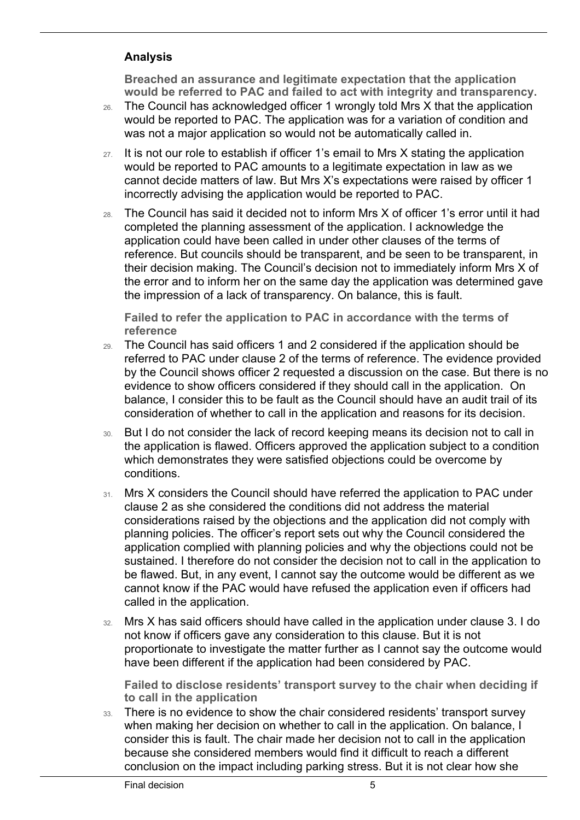#### **Analysis**

 $\overline{a}$ 

**Breached an assurance and legitimate expectation that the application would be referred to PAC and failed to act with integrity and transparency.**

- 26. The Council has acknowledged officer 1 wrongly told Mrs X that the application would be reported to PAC. The application was for a variation of condition and was not a major application so would not be automatically called in.
- $27.$  It is not our role to establish if officer 1's email to Mrs X stating the application would be reported to PAC amounts to a legitimate expectation in law as we cannot decide matters of law. But Mrs X's expectations were raised by officer 1 incorrectly advising the application would be reported to PAC.
- 28. The Council has said it decided not to inform Mrs X of officer 1's error until it had completed the planning assessment of the application. I acknowledge the application could have been called in under other clauses of the terms of reference. But councils should be transparent, and be seen to be transparent, in their decision making. The Council's decision not to immediately inform Mrs X of the error and to inform her on the same day the application was determined gave the impression of a lack of transparency. On balance, this is fault.

**Failed to refer the application to PAC in accordance with the terms of reference** 

- 29. The Council has said officers 1 and 2 considered if the application should be referred to PAC under clause 2 of the terms of reference. The evidence provided by the Council shows officer 2 requested a discussion on the case. But there is no evidence to show officers considered if they should call in the application. On balance, I consider this to be fault as the Council should have an audit trail of its consideration of whether to call in the application and reasons for its decision.
- 30. But I do not consider the lack of record keeping means its decision not to call in the application is flawed. Officers approved the application subject to a condition which demonstrates they were satisfied objections could be overcome by conditions.
- 31. Mrs X considers the Council should have referred the application to PAC under clause 2 as she considered the conditions did not address the material considerations raised by the objections and the application did not comply with planning policies. The officer's report sets out why the Council considered the application complied with planning policies and why the objections could not be sustained. I therefore do not consider the decision not to call in the application to be flawed. But, in any event, I cannot say the outcome would be different as we cannot know if the PAC would have refused the application even if officers had called in the application.
- 32. Mrs X has said officers should have called in the application under clause 3. I do not know if officers gave any consideration to this clause. But it is not proportionate to investigate the matter further as I cannot say the outcome would have been different if the application had been considered by PAC.

**Failed to disclose residents' transport survey to the chair when deciding if to call in the application**

33. There is no evidence to show the chair considered residents' transport survey when making her decision on whether to call in the application. On balance, I consider this is fault. The chair made her decision not to call in the application because she considered members would find it difficult to reach a different conclusion on the impact including parking stress. But it is not clear how she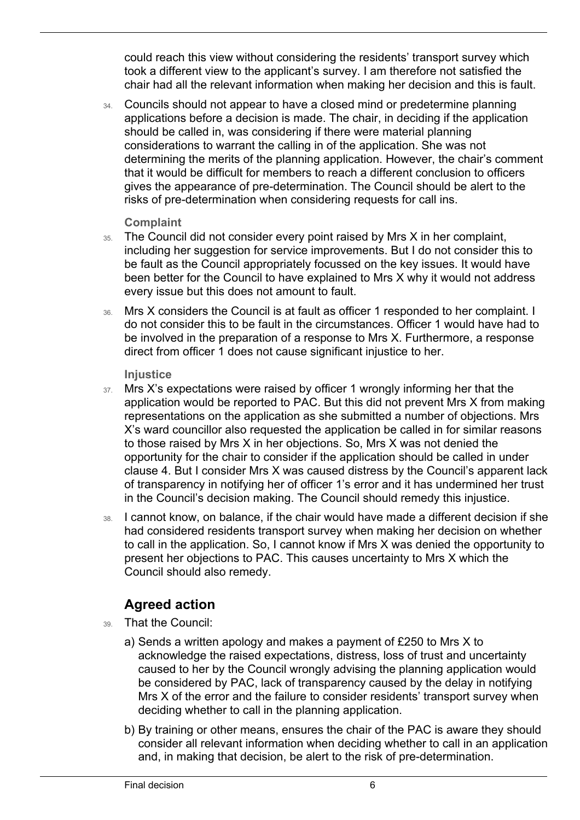could reach this view without considering the residents' transport survey which took a different view to the applicant's survey. I am therefore not satisfied the chair had all the relevant information when making her decision and this is fault.

34. Councils should not appear to have a closed mind or predetermine planning applications before a decision is made. The chair, in deciding if the application should be called in, was considering if there were material planning considerations to warrant the calling in of the application. She was not determining the merits of the planning application. However, the chair's comment that it would be difficult for members to reach a different conclusion to officers gives the appearance of pre-determination. The Council should be alert to the risks of pre-determination when considering requests for call ins.

#### **Complaint**

 $\overline{a}$ 

- 35. The Council did not consider every point raised by Mrs X in her complaint, including her suggestion for service improvements. But I do not consider this to be fault as the Council appropriately focussed on the key issues. It would have been better for the Council to have explained to Mrs X why it would not address every issue but this does not amount to fault.
- 36. Mrs X considers the Council is at fault as officer 1 responded to her complaint. I do not consider this to be fault in the circumstances. Officer 1 would have had to be involved in the preparation of a response to Mrs X. Furthermore, a response direct from officer 1 does not cause significant injustice to her.

#### **Injustice**

- 37. Mrs X's expectations were raised by officer 1 wrongly informing her that the application would be reported to PAC. But this did not prevent Mrs X from making representations on the application as she submitted a number of objections. Mrs X's ward councillor also requested the application be called in for similar reasons to those raised by Mrs X in her objections. So, Mrs X was not denied the opportunity for the chair to consider if the application should be called in under clause 4. But I consider Mrs X was caused distress by the Council's apparent lack of transparency in notifying her of officer 1's error and it has undermined her trust in the Council's decision making. The Council should remedy this injustice.
- 38. I cannot know, on balance, if the chair would have made a different decision if she had considered residents transport survey when making her decision on whether to call in the application. So, I cannot know if Mrs X was denied the opportunity to present her objections to PAC. This causes uncertainty to Mrs X which the Council should also remedy.

## **Agreed action**

- 39. That the Council:
	- a) Sends a written apology and makes a payment of £250 to Mrs X to acknowledge the raised expectations, distress, loss of trust and uncertainty caused to her by the Council wrongly advising the planning application would be considered by PAC, lack of transparency caused by the delay in notifying Mrs X of the error and the failure to consider residents' transport survey when deciding whether to call in the planning application.
	- b) By training or other means, ensures the chair of the PAC is aware they should consider all relevant information when deciding whether to call in an application and, in making that decision, be alert to the risk of pre-determination.